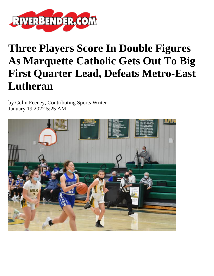

## **Three Players Score In Double Figures As Marquette Catholic Gets Out To Big First Quarter Lead, Defeats Metro-East Lutheran**

by Colin Feeney, Contributing Sports Writer January 19 2022 5:25 AM

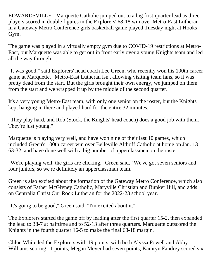EDWARDSVILLE - Marquette Catholic jumped out to a big first-quarter lead as three players scored in double figures in the Explorers' 68-18 win over Metro-East Lutheran in a Gateway Metro Conference girls basketball game played Tuesday night at Hooks Gym.

The game was played in a virtually empty gym due to COVID-19 restrictions at Metro-East, but Marquette was able to get out in front early over a young Knights team and led all the way through.

"It was good," said Explorers' head coach Lee Green, who recently won his 100th career game at Marquette. "Metro-East Lutheran isn't allowing visiting team fans, so it was pretty dead from the start. But the girls brought their own energy, we jumped on them from the start and we wrapped it up by the middle of the second quarter."

It's a very young Metro-East team, with only one senior on the roster, but the Knights kept hanging in there and played hard for the entire 32 minutes.

"They play hard, and Rob (Stock, the Knights' head coach) does a good job with them. They're just young."

Marquette is playing very well, and have won nine of their last 10 games, which included Green's 100th career win over Belleville Althoff Catholic at home on Jan. 13 63-32, and have done well with a big number of upperclassmen on the roster.

"We're playing well, the girls are clicking," Green said. "We've got seven seniors and four juniors, so we're definitely an upperclassman team."

Green is also excited about the formation of the Gateway Metro Conference, which also consists of Father McGivney Catholic, Maryville Christian and Bunker Hill, and adds on Centralia Christ Our Rock Lutheran for the 2022-23 school year.

"It's going to be good," Green said. "I'm excited about it."

The Explorers started the game off by leading after the first quarter 15-2, then expanded the lead to 38-7 at halftime and to 52-13 after three quarters. Marquette outscored the Knights in the fourth quarter 16-5 to make the final 68-18 margin.

Chloe White led the Explorers with 19 points, with both Alyssa Powell and Abby Williams scoring 11 points, Megan Meyer had seven points, Kamryn Fandrey scored six